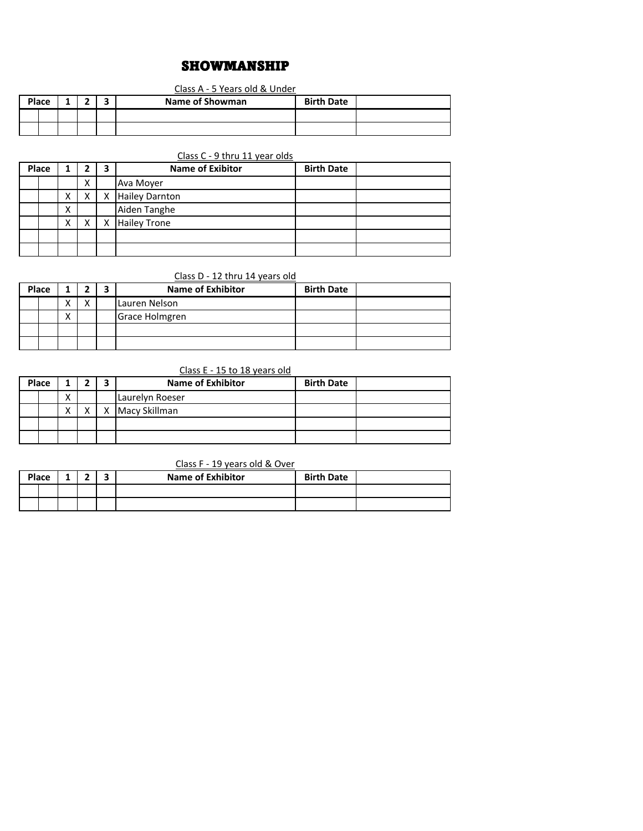# SHOWMANSHIP

### Class A - 5 Years old & Under

|  | Place |  | ۰ | Name of Showman | <b>Birth Date</b> |  |
|--|-------|--|---|-----------------|-------------------|--|
|  |       |  |   |                 |                   |  |
|  |       |  |   |                 |                   |  |

## Class C - 9 thru 11 year olds

| Place |        |   | 3 | <b>Name of Exibitor</b> | <b>Birth Date</b> |  |
|-------|--------|---|---|-------------------------|-------------------|--|
|       |        | X |   | Ava Moyer               |                   |  |
|       | v<br>ᄉ |   | X | <b>Hailey Darnton</b>   |                   |  |
|       | x      |   |   | Aiden Tanghe            |                   |  |
|       | х      |   | X | <b>Hailey Trone</b>     |                   |  |
|       |        |   |   |                         |                   |  |
|       |        |   |   |                         |                   |  |

## Class D - 12 thru 14 years old

| Place |  |   |              | <b>Name of Exhibitor</b> | <b>Birth Date</b> |  |
|-------|--|---|--------------|--------------------------|-------------------|--|
|       |  |   | $\mathbf{v}$ | Lauren Nelson            |                   |  |
|       |  | ́ |              | Grace Holmgren           |                   |  |
|       |  |   |              |                          |                   |  |
|       |  |   |              |                          |                   |  |

## Class E - 15 to 18 years old

| Place |  |                   |  | <b>Name of Exhibitor</b> | <b>Birth Date</b> |  |
|-------|--|-------------------|--|--------------------------|-------------------|--|
|       |  | $\cdot$<br>∧      |  | Laurelyn Roeser          |                   |  |
|       |  | $\checkmark$<br>Λ |  | X Macy Skillman          |                   |  |
|       |  |                   |  |                          |                   |  |
|       |  |                   |  |                          |                   |  |

### Class F - 19 years old & Over

| Place |  | - |  | <b>Name of Exhibitor</b> | <b>Birth Date</b> |  |
|-------|--|---|--|--------------------------|-------------------|--|
|       |  |   |  |                          |                   |  |
|       |  |   |  |                          |                   |  |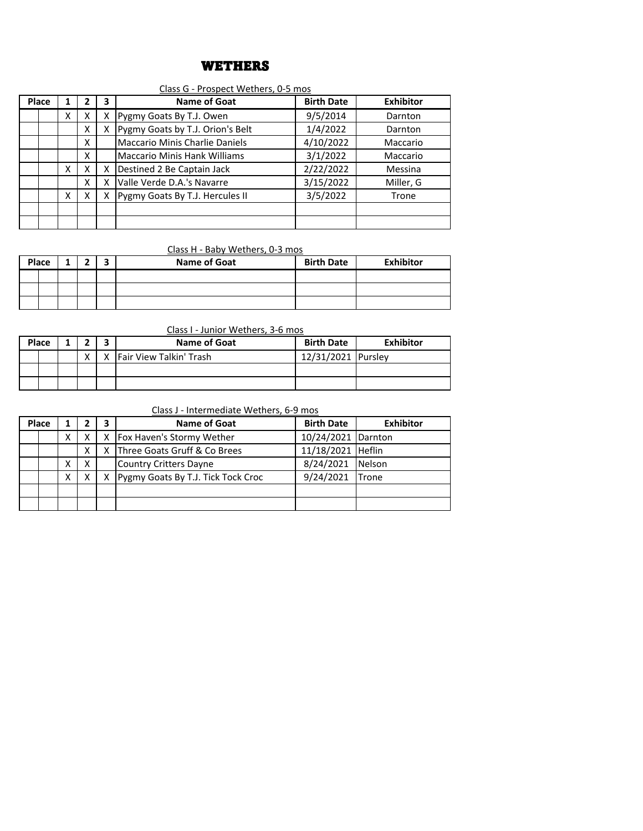# WETHERS

### Class G - Prospect Wethers, 0-5 mos

| Place |   |   | 3 | Name of Goat                          | <b>Birth Date</b> | <b>Exhibitor</b> |
|-------|---|---|---|---------------------------------------|-------------------|------------------|
|       | x | X | Χ | Pygmy Goats By T.J. Owen              | 9/5/2014          | Darnton          |
|       |   | x | x | Pygmy Goats by T.J. Orion's Belt      | 1/4/2022          | Darnton          |
|       |   | x |   | <b>Maccario Minis Charlie Daniels</b> | 4/10/2022         | Maccario         |
|       |   | x |   | <b>Maccario Minis Hank Williams</b>   | 3/1/2022          | Maccario         |
|       | X | x | х | Destined 2 Be Captain Jack            | 2/22/2022         | Messina          |
|       |   | x | x | Valle Verde D.A.'s Navarre            | 3/15/2022         | Miller, G        |
|       | x | x | х | Pygmy Goats By T.J. Hercules II       | 3/5/2022          | Trone            |
|       |   |   |   |                                       |                   |                  |
|       |   |   |   |                                       |                   |                  |

### Class H - Baby Wethers, 0-3 mos

| Place |  |  | - | <b>Name of Goat</b> | <b>Birth Date</b> | <b>Exhibitor</b> |
|-------|--|--|---|---------------------|-------------------|------------------|
|       |  |  |   |                     |                   |                  |
|       |  |  |   |                     |                   |                  |
|       |  |  |   |                     |                   |                  |

Class I - Junior Wethers, 3-6 mos

| Place |  |  | Name of Goat            | <b>Birth Date</b>  | <b>Exhibitor</b> |
|-------|--|--|-------------------------|--------------------|------------------|
|       |  |  | Fair View Talkin' Trash | 12/31/2021 Pursley |                  |
|       |  |  |                         |                    |                  |
|       |  |  |                         |                    |                  |

Class J - Intermediate Wethers, 6-9 mos

| Place |                                    |   |   | 3                  | Name of Goat                       | <b>Birth Date</b> | <b>Exhibitor</b> |
|-------|------------------------------------|---|---|--------------------|------------------------------------|-------------------|------------------|
|       | X   Fox Haven's Stormy Wether<br>Χ |   |   | 10/24/2021 Darnton |                                    |                   |                  |
|       |                                    |   | x | x                  | Three Goats Gruff & Co Brees       | 11/18/2021 Heflin |                  |
|       |                                    |   | х |                    | <b>Country Critters Dayne</b>      | 8/24/2021 Nelson  |                  |
|       |                                    | χ |   | X                  | Pygmy Goats By T.J. Tick Tock Croc | 9/24/2021 Trone   |                  |
|       |                                    |   |   |                    |                                    |                   |                  |
|       |                                    |   |   |                    |                                    |                   |                  |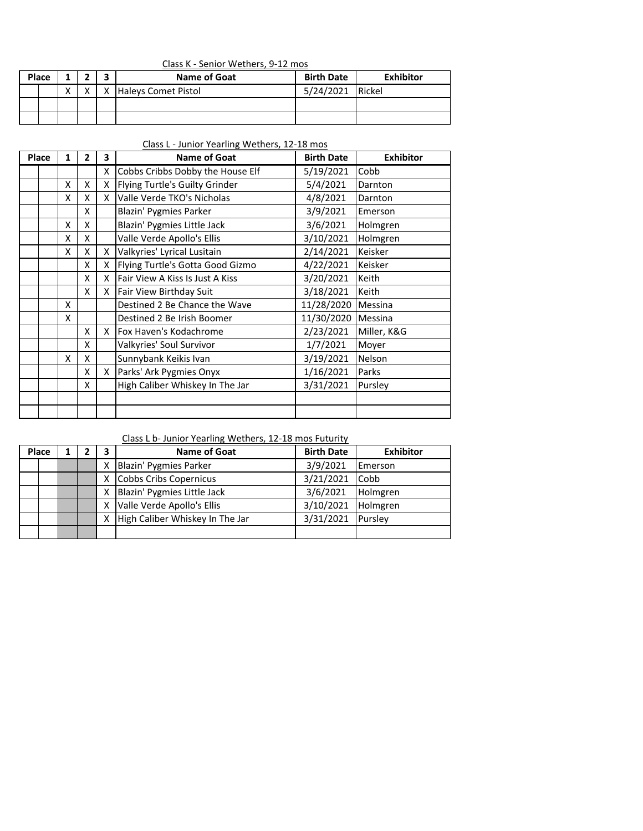|  | Class K - Senior Wethers, 9-12 mos |  |
|--|------------------------------------|--|
|  |                                    |  |

| Place |  |              |              | Name of Goat        | <b>Birth Date</b> | <b>Exhibitor</b> |
|-------|--|--------------|--------------|---------------------|-------------------|------------------|
|       |  | $\mathbf{v}$ | $\checkmark$ | Haleys Comet Pistol | 5/24/2021         | Rickel           |
|       |  |              |              |                     |                   |                  |
|       |  |              |              |                     |                   |                  |

Class L - Junior Yearling Wethers, 12-18 mos

| Place | 1 | $\overline{2}$ | 3 | <b>Name of Goat</b>              | <b>Birth Date</b> | <b>Exhibitor</b> |
|-------|---|----------------|---|----------------------------------|-------------------|------------------|
|       |   |                | X | Cobbs Cribbs Dobby the House Elf | 5/19/2021         | Cobb             |
|       | X | X              | X | Flying Turtle's Guilty Grinder   | 5/4/2021          | Darnton          |
|       | x | X              | X | Valle Verde TKO's Nicholas       | 4/8/2021          | Darnton          |
|       |   | X              |   | <b>Blazin' Pygmies Parker</b>    | 3/9/2021          | Emerson          |
|       | x | X              |   | Blazin' Pygmies Little Jack      | 3/6/2021          | Holmgren         |
|       | x | X              |   | Valle Verde Apollo's Ellis       | 3/10/2021         | Holmgren         |
|       | X | X              | X | Valkyries' Lyrical Lusitain      | 2/14/2021         | Keisker          |
|       |   | X              | X | Flying Turtle's Gotta Good Gizmo | 4/22/2021         | Keisker          |
|       |   | X              | x | lFair View A Kiss Is Just A Kiss | 3/20/2021         | Keith            |
|       |   | X              | x | <b>Fair View Birthday Suit</b>   | 3/18/2021         | Keith            |
|       | x |                |   | Destined 2 Be Chance the Wave    | 11/28/2020        | Messina          |
|       | X |                |   | Destined 2 Be Irish Boomer       | 11/30/2020        | Messina          |
|       |   | X              | x | Fox Haven's Kodachrome           | 2/23/2021         | Miller, K&G      |
|       |   | X              |   | Valkyries' Soul Survivor         | 1/7/2021          | Moyer            |
|       | X | X              |   | Sunnybank Keikis Ivan            | 3/19/2021         | Nelson           |
|       |   | X              | X | Parks' Ark Pygmies Onyx          | 1/16/2021         | Parks            |
|       |   | X              |   | High Caliber Whiskey In The Jar  | 3/31/2021         | Pursley          |
|       |   |                |   |                                  |                   |                  |
|       |   |                |   |                                  |                   |                  |

# Class L b- Junior Yearling Wethers, 12-18 mos Futurity

| Place |  | 3 | <b>Name of Goat</b>             | <b>Birth Date</b> | <b>Exhibitor</b> |
|-------|--|---|---------------------------------|-------------------|------------------|
|       |  | Χ | Blazin' Pygmies Parker          | 3/9/2021          | Emerson          |
|       |  | х | Cobbs Cribs Copernicus          | 3/21/2021         | Cobb             |
|       |  | Χ | Blazin' Pygmies Little Jack     | 3/6/2021          | Holmgren         |
|       |  | χ | Valle Verde Apollo's Ellis      | 3/10/2021         | Holmgren         |
|       |  | x | High Caliber Whiskey In The Jar | 3/31/2021         | Pursley          |
|       |  |   |                                 |                   |                  |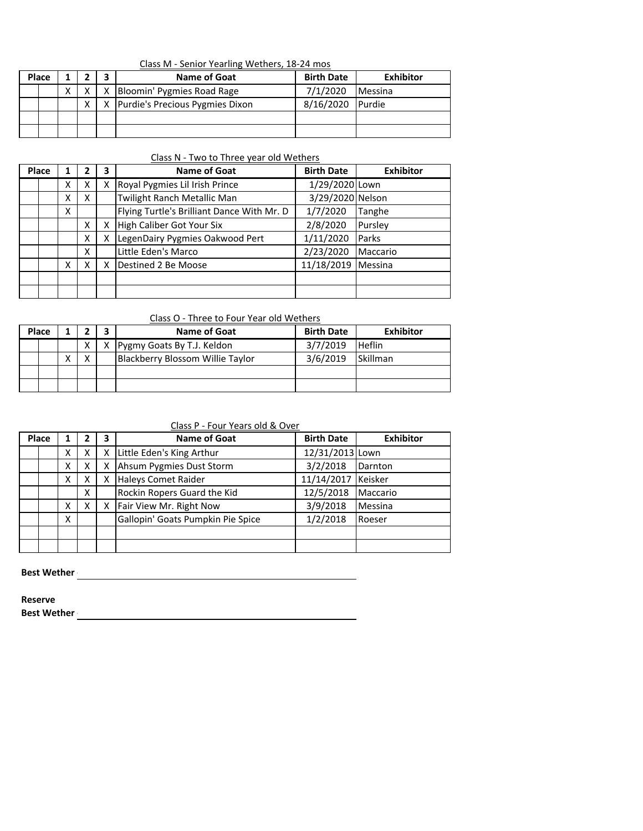|--|

| Place |   |   | <b>Name of Goat</b>                 | <b>Birth Date</b> | Exhibitor      |
|-------|---|---|-------------------------------------|-------------------|----------------|
|       | X |   | X Bloomin' Pygmies Road Rage        | 7/1/2020          | <b>Messina</b> |
|       |   | X | X   Purdie's Precious Pygmies Dixon | 8/16/2020         | <b>IPurdie</b> |
|       |   |   |                                     |                   |                |
|       |   |   |                                     |                   |                |

### Class N - Two to Three year old Wethers

| Place |   |   | 3 | <b>Name of Goat</b>                        | <b>Birth Date</b> | <b>Exhibitor</b> |
|-------|---|---|---|--------------------------------------------|-------------------|------------------|
|       | x | X | x | Royal Pygmies Lil Irish Prince             | 1/29/2020 Lown    |                  |
|       | x | X |   | Twilight Ranch Metallic Man                | 3/29/2020 Nelson  |                  |
|       | x |   |   | Flying Turtle's Brilliant Dance With Mr. D | 1/7/2020          | Tanghe           |
|       |   | x | x | High Caliber Got Your Six                  | 2/8/2020          | Pursley          |
|       |   | X | x | LegenDairy Pygmies Oakwood Pert            | 1/11/2020         | Parks            |
|       |   | x |   | Little Eden's Marco                        | 2/23/2020         | Maccario         |
|       | x | x | x | Destined 2 Be Moose                        | 11/18/2019        | Messina          |
|       |   |   |   |                                            |                   |                  |
|       |   |   |   |                                            |                   |                  |

### Class O - Three to Four Year old Wethers

| <b>Place</b> |              |    | Name of Goat                     | <b>Birth Date</b> | <b>Exhibitor</b> |
|--------------|--------------|----|----------------------------------|-------------------|------------------|
|              | x            | X. | Pygmy Goats By T.J. Keldon       | 3/7/2019          | <b>Heflin</b>    |
|              | $\checkmark$ |    | Blackberry Blossom Willie Taylor | 3/6/2019          | <b>Skillman</b>  |
|              |              |    |                                  |                   |                  |
|              |              |    |                                  |                   |                  |

# Class P - Four Years old & Over

| Place |  |   |   | 3 | <b>Name of Goat</b>               | <b>Birth Date</b> | <b>Exhibitor</b> |
|-------|--|---|---|---|-----------------------------------|-------------------|------------------|
|       |  | Χ | x | x | Little Eden's King Arthur         | 12/31/2013 Lown   |                  |
|       |  | Χ |   | x | Ahsum Pygmies Dust Storm          | 3/2/2018          | Darnton          |
|       |  | Χ | X | x | Haleys Comet Raider               | 11/14/2017        | Keisker          |
|       |  |   | X |   | Rockin Ropers Guard the Kid       | 12/5/2018         | Maccario         |
|       |  | χ | x | x | Fair View Mr. Right Now           | 3/9/2018          | Messina          |
|       |  | X |   |   | Gallopin' Goats Pumpkin Pie Spice | 1/2/2018          | Roeser           |
|       |  |   |   |   |                                   |                   |                  |
|       |  |   |   |   |                                   |                   |                  |

**Best Wether All and Security Construction of the Security Construction of the Security Construction of the Security Construction of the Security Construction of the Security Construction of the Security Construction of th** 

**Reserve**

**Best Wether -**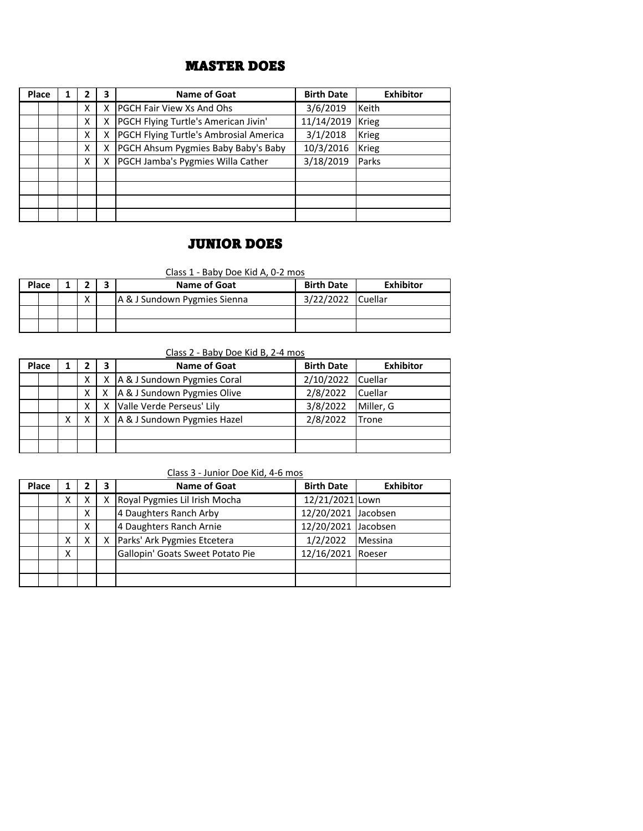# MASTER DOES

| Place | 1 |   | 3 | Name of Goat                           | <b>Birth Date</b> | <b>Exhibitor</b> |
|-------|---|---|---|----------------------------------------|-------------------|------------------|
|       |   | X | x | <b>PGCH Fair View Xs And Ohs</b>       | 3/6/2019          | Keith            |
|       |   | X | X | PGCH Flying Turtle's American Jivin'   | 11/14/2019        | <b>Krieg</b>     |
|       |   | x | x | PGCH Flying Turtle's Ambrosial America | 3/1/2018          | <b>Krieg</b>     |
|       |   | X | x | PGCH Ahsum Pygmies Baby Baby's Baby    | 10/3/2016         | Krieg            |
|       |   | X | х | PGCH Jamba's Pygmies Willa Cather      | 3/18/2019         | Parks            |
|       |   |   |   |                                        |                   |                  |
|       |   |   |   |                                        |                   |                  |
|       |   |   |   |                                        |                   |                  |
|       |   |   |   |                                        |                   |                  |

# JUNIOR DOES

Class 1 - Baby Doe Kid A, 0-2 mos

| Place |                   | Name of Goat                 | <b>Birth Date</b> | <b>Exhibitor</b> |
|-------|-------------------|------------------------------|-------------------|------------------|
|       | $\checkmark$<br>́ | A & J Sundown Pygmies Sienna | 3/22/2022         | <b>Cuellar</b>   |
|       |                   |                              |                   |                  |
|       |                   |                              |                   |                  |

Class 2 - Baby Doe Kid B, 2-4 mos

| Place |  |   |   | 3        | Name of Goat                        | <b>Birth Date</b> | <b>Exhibitor</b> |
|-------|--|---|---|----------|-------------------------------------|-------------------|------------------|
|       |  |   | X | $\times$ | A & J Sundown Pygmies Coral         | 2/10/2022         | <b>Cuellar</b>   |
|       |  |   |   |          | X   X   A & J Sundown Pygmies Olive | 2/8/2022          | <b>Cuellar</b>   |
|       |  |   | х |          | Valle Verde Perseus' Lily           | 3/8/2022          | Miller, G        |
|       |  | Χ | x |          | A & J Sundown Pygmies Hazel         | 2/8/2022          | Trone            |
|       |  |   |   |          |                                     |                   |                  |
|       |  |   |   |          |                                     |                   |                  |

### Class 3 - Junior Doe Kid, 4-6 mos

| Place |   |   | 3 | <b>Name of Goat</b>              | <b>Birth Date</b>   | <b>Exhibitor</b> |
|-------|---|---|---|----------------------------------|---------------------|------------------|
|       | х |   | x | Royal Pygmies Lil Irish Mocha    | 12/21/2021 Lown     |                  |
|       |   | x |   | 4 Daughters Ranch Arby           | 12/20/2021 Jacobsen |                  |
|       |   | X |   | 4 Daughters Ranch Arnie          | 12/20/2021 Jacobsen |                  |
|       | х |   | х | Parks' Ark Pygmies Etcetera      | 1/2/2022            | Messina          |
|       | x |   |   | Gallopin' Goats Sweet Potato Pie | 12/16/2021 Roeser   |                  |
|       |   |   |   |                                  |                     |                  |
|       |   |   |   |                                  |                     |                  |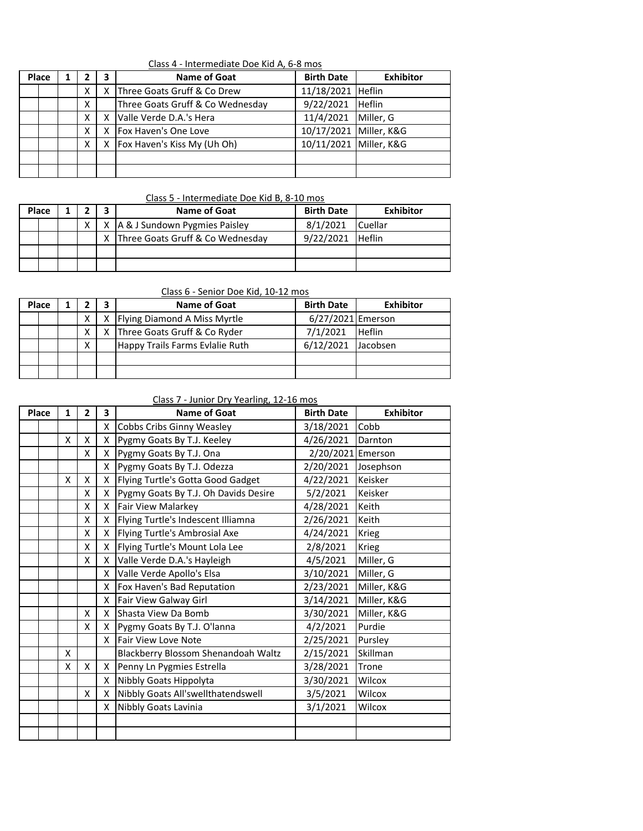| Class 4 - Intermediate Doe Kid A, 6-8 mos |  |
|-------------------------------------------|--|
|                                           |  |

| Place |   | 3 | <b>Name of Goat</b>              | <b>Birth Date</b>      | <b>Exhibitor</b> |
|-------|---|---|----------------------------------|------------------------|------------------|
|       | x | x | Three Goats Gruff & Co Drew      | 11/18/2021 Heflin      |                  |
|       | x |   | Three Goats Gruff & Co Wednesday | 9/22/2021              | <b>Heflin</b>    |
|       | x | x | Valle Verde D.A.'s Hera          | 11/4/2021              | Miller, G        |
|       |   | x | Fox Haven's One Love             | 10/17/2021 Miller, K&G |                  |
|       | x | x | Fox Haven's Kiss My (Uh Oh)      | 10/11/2021 Miller, K&G |                  |
|       |   |   |                                  |                        |                  |
|       |   |   |                                  |                        |                  |

#### Class 5 - Intermediate Doe Kid B, 8-10 mos

| Place |    | Name of Goat                       | <b>Birth Date</b> | Exhibitor      |
|-------|----|------------------------------------|-------------------|----------------|
|       | ΧI | X   A & J Sundown Pygmies Paisley  | 8/1/2021          | <b>Cuellar</b> |
|       |    | X Three Goats Gruff & Co Wednesday | 9/22/2021         | <b>Heflin</b>  |
|       |    |                                    |                   |                |
|       |    |                                    |                   |                |

## Class 6 - Senior Doe Kid, 10-12 mos

| Place |   | Name of Goat                     | <b>Birth Date</b> | <b>Exhibitor</b> |
|-------|---|----------------------------------|-------------------|------------------|
|       |   | X   Flying Diamond A Miss Myrtle | 6/27/2021 Emerson |                  |
|       |   | X Three Goats Gruff & Co Ryder   | 7/1/2021          | <b>Heflin</b>    |
|       | x | Happy Trails Farms Evlalie Ruth  | 6/12/2021         | Jacobsen         |
|       |   |                                  |                   |                  |
|       |   |                                  |                   |                  |

### Class 7 - Junior Dry Yearling, 12-16 mos

| Place | 1 | $\overline{2}$ | 3  | <b>Name of Goat</b>                  | <b>Birth Date</b> | <b>Exhibitor</b> |
|-------|---|----------------|----|--------------------------------------|-------------------|------------------|
|       |   |                | X. | Cobbs Cribs Ginny Weasley            | 3/18/2021         | Cobb             |
|       | X | X              | X  | Pygmy Goats By T.J. Keeley           | 4/26/2021         | Darnton          |
|       |   | X              | X  | Pygmy Goats By T.J. Ona              | 2/20/2021 Emerson |                  |
|       |   |                | X  | Pygmy Goats By T.J. Odezza           | 2/20/2021         | Josephson        |
|       | X | X              | X  | Flying Turtle's Gotta Good Gadget    | 4/22/2021         | Keisker          |
|       |   | X              | X  | Pygmy Goats By T.J. Oh Davids Desire | 5/2/2021          | Keisker          |
|       |   | X              | X  | Fair View Malarkey                   | 4/28/2021         | Keith            |
|       |   | X              | X. | Flying Turtle's Indescent Illiamna   | 2/26/2021         | Keith            |
|       |   | Χ              | X. | Flying Turtle's Ambrosial Axe        | 4/24/2021         | <b>Krieg</b>     |
|       |   | X              | X. | Flying Turtle's Mount Lola Lee       | 2/8/2021          | <b>Krieg</b>     |
|       |   | X              | X  | Valle Verde D.A.'s Hayleigh          | 4/5/2021          | Miller, G        |
|       |   |                | X  | Valle Verde Apollo's Elsa            | 3/10/2021         | Miller, G        |
|       |   |                | X  | Fox Haven's Bad Reputation           | 2/23/2021         | Miller, K&G      |
|       |   |                | X. | Fair View Galway Girl                | 3/14/2021         | Miller, K&G      |
|       |   | X              | X  | <b>Shasta View Da Bomb</b>           | 3/30/2021         | Miller, K&G      |
|       |   | X              | X. | Pygmy Goats By T.J. O'lanna          | 4/2/2021          | Purdie           |
|       |   |                | X  | Fair View Love Note                  | 2/25/2021         | Pursley          |
|       | X |                |    | Blackberry Blossom Shenandoah Waltz  | 2/15/2021         | Skillman         |
|       | X | X              | X. | Penny Ln Pygmies Estrella            | 3/28/2021         | Trone            |
|       |   |                | X. | Nibbly Goats Hippolyta               | 3/30/2021         | Wilcox           |
|       |   | X              | X  | Nibbly Goats All'swellthatendswell   | 3/5/2021          | Wilcox           |
|       |   |                | X  | Nibbly Goats Lavinia                 | 3/1/2021          | Wilcox           |
|       |   |                |    |                                      |                   |                  |
|       |   |                |    |                                      |                   |                  |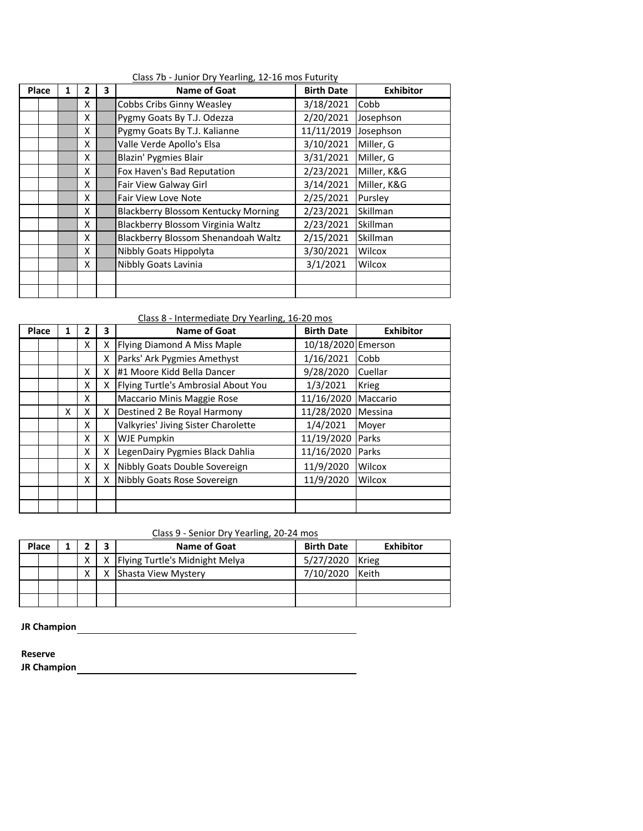| Place | 1 | 2  | 3 | <b>Name of Goat</b>                        | <b>Birth Date</b> | <b>Exhibitor</b> |
|-------|---|----|---|--------------------------------------------|-------------------|------------------|
|       |   | x  |   | Cobbs Cribs Ginny Weasley                  | 3/18/2021         | Cobb             |
|       |   | x  |   | Pygmy Goats By T.J. Odezza                 | 2/20/2021         | Josephson        |
|       |   | x  |   | Pygmy Goats By T.J. Kalianne               | 11/11/2019        | Josephson        |
|       |   | x  |   | Valle Verde Apollo's Elsa                  | 3/10/2021         | Miller, G        |
|       |   | X  |   | <b>Blazin' Pygmies Blair</b>               | 3/31/2021         | Miller, G        |
|       |   | x  |   | Fox Haven's Bad Reputation                 | 2/23/2021         | Miller, K&G      |
|       |   | x  |   | Fair View Galway Girl                      | 3/14/2021         | Miller, K&G      |
|       |   | X. |   | <b>Fair View Love Note</b>                 | 2/25/2021         | Pursley          |
|       |   | x  |   | <b>Blackberry Blossom Kentucky Morning</b> | 2/23/2021         | Skillman         |
|       |   | x  |   | Blackberry Blossom Virginia Waltz          | 2/23/2021         | Skillman         |
|       |   | X. |   | Blackberry Blossom Shenandoah Waltz        | 2/15/2021         | Skillman         |
|       |   | x  |   | Nibbly Goats Hippolyta                     | 3/30/2021         | Wilcox           |
|       |   | x  |   | <b>Nibbly Goats Lavinia</b>                | 3/1/2021          | Wilcox           |
|       |   |    |   |                                            |                   |                  |
|       |   |    |   |                                            |                   |                  |

Class 7b - Junior Dry Yearling, 12-16 mos Futurity

Class 8 - Intermediate Dry Yearling, 16-20 mos

| Place | 1 | $\overline{2}$ | 3 | <b>Name of Goat</b>                 | <b>Birth Date</b>  | <b>Exhibitor</b> |
|-------|---|----------------|---|-------------------------------------|--------------------|------------------|
|       |   | X              | X | <b>Flying Diamond A Miss Maple</b>  | 10/18/2020 Emerson |                  |
|       |   |                | x | Parks' Ark Pygmies Amethyst         | 1/16/2021          | Cobb             |
|       |   | X              | x | #1 Moore Kidd Bella Dancer          | 9/28/2020          | Cuellar          |
|       |   | X              | x | Flying Turtle's Ambrosial About You | 1/3/2021           | <b>Krieg</b>     |
|       |   | X              |   | Maccario Minis Maggie Rose          | 11/16/2020         | Maccario         |
|       | X | x              | x | Destined 2 Be Royal Harmony         | 11/28/2020         | Messina          |
|       |   | X              |   | Valkyries' Jiving Sister Charolette | 1/4/2021           | Mover            |
|       |   | X              | x | <b>WJE Pumpkin</b>                  | 11/19/2020         | Parks            |
|       |   | X              | x | LegenDairy Pygmies Black Dahlia     | 11/16/2020         | Parks            |
|       |   | X              | x | Nibbly Goats Double Sovereign       | 11/9/2020          | Wilcox           |
|       |   | X              | x | Nibbly Goats Rose Sovereign         | 11/9/2020          | Wilcox           |
|       |   |                |   |                                     |                    |                  |
|       |   |                |   |                                     |                    |                  |

|--|

| Place |  |              | Name of Goat                       | <b>Birth Date</b> | <b>Exhibitor</b> |
|-------|--|--------------|------------------------------------|-------------------|------------------|
|       |  | X            | X   Flying Turtle's Midnight Melya | 5/27/2020 Krieg   |                  |
|       |  | $\checkmark$ | Shasta View Mystery                | 7/10/2020         | Keith            |
|       |  |              |                                    |                   |                  |
|       |  |              |                                    |                   |                  |

<u> 1980 - Johann Barn, mars an t-Amerikaansk politiker (</u>

**JR Champion -**

**Reserve**

**JR Champion**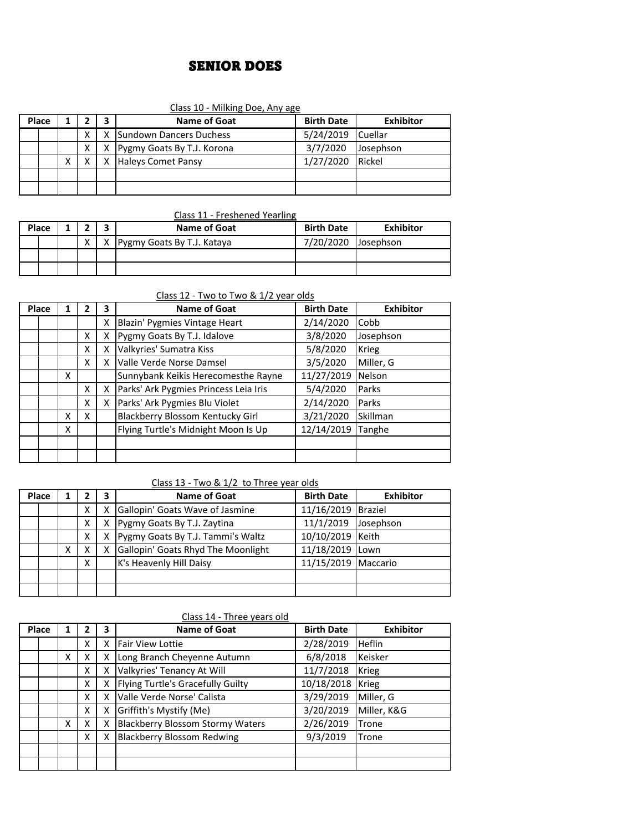# SENIOR DOES

### Class 10 - Milking Doe, Any age

| Place |  |   |   | Name of Goat                   | <b>Birth Date</b> | <b>Exhibitor</b> |
|-------|--|---|---|--------------------------------|-------------------|------------------|
|       |  |   | X | <b>Sundown Dancers Duchess</b> | 5/24/2019         | <b>Cuellar</b>   |
|       |  | x |   | X Pygmy Goats By T.J. Korona   | 3/7/2020          | Josephson        |
|       |  |   | x | <b>Haleys Comet Pansy</b>      | 1/27/2020         | Rickel           |
|       |  |   |   |                                |                   |                  |
|       |  |   |   |                                |                   |                  |

### Class 11 - Freshened Yearling

| Place |           | Name of Goat               | <b>Birth Date</b> | <b>Exhibitor</b> |
|-------|-----------|----------------------------|-------------------|------------------|
|       | $\lambda$ | Pygmy Goats By T.J. Kataya | 7/20/2020         | Josephson        |
|       |           |                            |                   |                  |
|       |           |                            |                   |                  |

# Class 12 - Two to Two & 1/2 year olds

| Place | 1 | 2 | 3 | Name of Goat                            | <b>Birth Date</b> | <b>Exhibitor</b> |
|-------|---|---|---|-----------------------------------------|-------------------|------------------|
|       |   |   | x | Blazin' Pygmies Vintage Heart           | 2/14/2020         | Cobb             |
|       |   | x | x | Pygmy Goats By T.J. Idalove             | 3/8/2020          | Josephson        |
|       |   | x | x | Valkyries' Sumatra Kiss                 | 5/8/2020          | <b>Krieg</b>     |
|       |   | x | x | Valle Verde Norse Damsel                | 3/5/2020          | Miller, G        |
|       | X |   |   | Sunnybank Keikis Herecomesthe Rayne     | 11/27/2019        | Nelson           |
|       |   | x | x | Parks' Ark Pygmies Princess Leia Iris   | 5/4/2020          | Parks            |
|       |   | x | x | Parks' Ark Pygmies Blu Violet           | 2/14/2020         | Parks            |
|       | X | X |   | <b>Blackberry Blossom Kentucky Girl</b> | 3/21/2020         | Skillman         |
|       | x |   |   | Flying Turtle's Midnight Moon Is Up     | 12/14/2019        | Tanghe           |
|       |   |   |   |                                         |                   |                  |
|       |   |   |   |                                         |                   |                  |

### Class 13 - Two & 1/2 to Three year olds

| Place | 1 |   | 3 | <b>Name of Goat</b>                | <b>Birth Date</b>   | <b>Exhibitor</b> |
|-------|---|---|---|------------------------------------|---------------------|------------------|
|       |   | x | χ | Gallopin' Goats Wave of Jasmine    | 11/16/2019 Braziel  |                  |
|       |   | х | X | Pygmy Goats By T.J. Zaytina        | 11/1/2019           | Josephson        |
|       |   | x | X | Pygmy Goats By T.J. Tammi's Waltz  | 10/10/2019 Keith    |                  |
|       | х | x | х | Gallopin' Goats Rhyd The Moonlight | 11/18/2019 Lown     |                  |
|       |   | x |   | K's Heavenly Hill Daisy            | 11/15/2019 Maccario |                  |
|       |   |   |   |                                    |                     |                  |
|       |   |   |   |                                    |                     |                  |

### Class 14 - Three years old

| Place | 1 |   | 3 | <b>Name of Goat</b>                     | <b>Birth Date</b> | <b>Exhibitor</b> |
|-------|---|---|---|-----------------------------------------|-------------------|------------------|
|       |   | x | χ | <b>Fair View Lottie</b>                 | 2/28/2019         | <b>Heflin</b>    |
|       | x | x | Χ | Long Branch Cheyenne Autumn             | 6/8/2018          | Keisker          |
|       |   | X | Χ | Valkyries' Tenancy At Will              | 11/7/2018         | <b>Krieg</b>     |
|       |   | X | Χ | Flying Turtle's Gracefully Guilty       | 10/18/2018        | Krieg            |
|       |   | X | x | Valle Verde Norse' Calista              | 3/29/2019         | Miller. G        |
|       |   | x | x | Griffith's Mystify (Me)                 | 3/20/2019         | Miller, K&G      |
|       | Χ | X | x | <b>Blackberry Blossom Stormy Waters</b> | 2/26/2019         | Trone            |
|       |   | x | x | <b>Blackberry Blossom Redwing</b>       | 9/3/2019          | Trone            |
|       |   |   |   |                                         |                   |                  |
|       |   |   |   |                                         |                   |                  |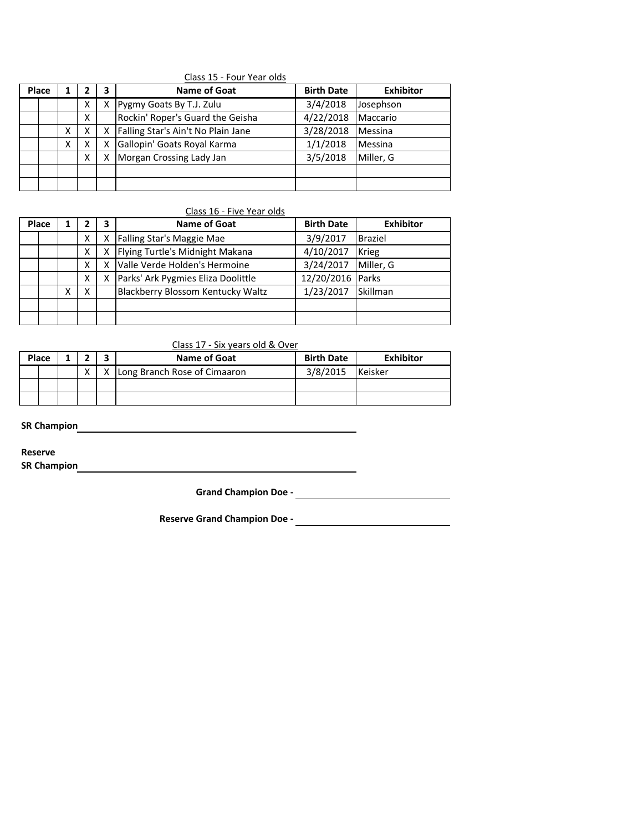|       |   |   |   | Class 15 - Four Year olds          |                   |                  |
|-------|---|---|---|------------------------------------|-------------------|------------------|
| Place |   |   | 3 | <b>Name of Goat</b>                | <b>Birth Date</b> | <b>Exhibitor</b> |
|       |   | x |   | Pygmy Goats By T.J. Zulu           | 3/4/2018          | Josephson        |
|       |   | x |   | Rockin' Roper's Guard the Geisha   | 4/22/2018         | Maccario         |
|       | χ |   |   | Falling Star's Ain't No Plain Jane | 3/28/2018         | <b>Messina</b>   |
|       | x |   |   | Gallopin' Goats Royal Karma        | 1/1/2018          | Messina          |
|       |   | x |   | Morgan Crossing Lady Jan           | 3/5/2018          | Miller, G        |
|       |   |   |   |                                    |                   |                  |
|       |   |   |   |                                    |                   |                  |

#### Class 16 - Five Year olds

| Place |  |   | 3 | <b>Name of Goat</b>                | <b>Birth Date</b> | <b>Exhibitor</b> |
|-------|--|---|---|------------------------------------|-------------------|------------------|
|       |  | Χ | X | Falling Star's Maggie Mae          | 3/9/2017          | <b>Braziel</b>   |
|       |  | x | x | Flying Turtle's Midnight Makana    | 4/10/2017         | <b>Krieg</b>     |
|       |  | x | χ | Valle Verde Holden's Hermoine      | 3/24/2017         | Miller. G        |
|       |  | Χ | x | Parks' Ark Pygmies Eliza Doolittle | 12/20/2016 Parks  |                  |
|       |  | X |   | Blackberry Blossom Kentucky Waltz  | 1/23/2017         | Skillman         |
|       |  |   |   |                                    |                   |                  |
|       |  |   |   |                                    |                   |                  |

### Class 17 - Six years old & Over

| Place |  |  |   | Name of Goat                 | <b>Birth Date</b> | <b>Exhibitor</b> |
|-------|--|--|---|------------------------------|-------------------|------------------|
|       |  |  | x | Long Branch Rose of Cimaaron | 3/8/2015          | <b>Keisker</b>   |
|       |  |  |   |                              |                   |                  |
|       |  |  |   |                              |                   |                  |

**SR Champion**  $\qquad \qquad$ 

**Reserve**

**SR Champion -**

**Grand Champion Doe -**

**Reserve Grand Champion Doe -**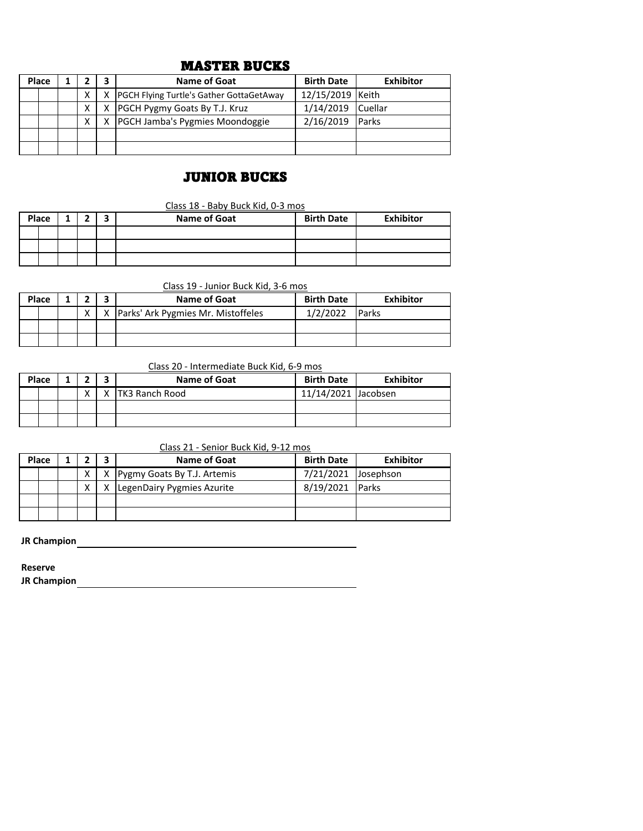# MASTER BUCKS

| Place |  |   |    | <b>Name of Goat</b>                             | <b>Birth Date</b> | <b>Exhibitor</b> |
|-------|--|---|----|-------------------------------------------------|-------------------|------------------|
|       |  |   | X  | <b>PGCH Flying Turtle's Gather GottaGetAway</b> | 12/15/2019 Keith  |                  |
|       |  |   | X. | <b>PGCH Pygmy Goats By T.J. Kruz</b>            | 1/14/2019         | <b>Cuellar</b>   |
|       |  | X | X. | <b>PGCH Jamba's Pygmies Moondoggie</b>          | 2/16/2019         | <b>Parks</b>     |
|       |  |   |    |                                                 |                   |                  |
|       |  |   |    |                                                 |                   |                  |

# JUNIOR BUCKS

Class 18 - Baby Buck Kid, 0-3 mos

| Place |  | А | ∽ | <b>Name of Goat</b> | <b>Birth Date</b> | <b>Exhibitor</b> |
|-------|--|---|---|---------------------|-------------------|------------------|
|       |  |   |   |                     |                   |                  |
|       |  |   |   |                     |                   |                  |
|       |  |   |   |                     |                   |                  |

Class 19 - Junior Buck Kid, 3-6 mos

| Place |  |   | Name of Goat                           | <b>Birth Date</b> | Exhibitor     |
|-------|--|---|----------------------------------------|-------------------|---------------|
|       |  | x | X   Parks' Ark Pygmies Mr. Mistoffeles | 1/2/2022          | <b>IParks</b> |
|       |  |   |                                        |                   |               |
|       |  |   |                                        |                   |               |

Class 20 - Intermediate Buck Kid, 6-9 mos

|  | Place |           |   | Name of Goat           | <b>Birth Date</b>   | <b>Exhibitor</b> |
|--|-------|-----------|---|------------------------|---------------------|------------------|
|  |       | $\lambda$ | x | <b>ITK3 Ranch Rood</b> | 11/14/2021 Jacobsen |                  |
|  |       |           |   |                        |                     |                  |
|  |       |           |   |                        |                     |                  |

Class 21 - Senior Buck Kid, 9-12 mos

| Place |  |                            | Name of Goat                  | <b>Birth Date</b>   | Exhibitor |
|-------|--|----------------------------|-------------------------------|---------------------|-----------|
|       |  |                            | X Pygmy Goats By T.J. Artemis | 7/21/2021 Josephson |           |
|       |  | LegenDairy Pygmies Azurite | 8/19/2021 Parks               |                     |           |
|       |  |                            |                               |                     |           |
|       |  |                            |                               |                     |           |

**JR Champion -**

**Reserve**

**JR Champion -**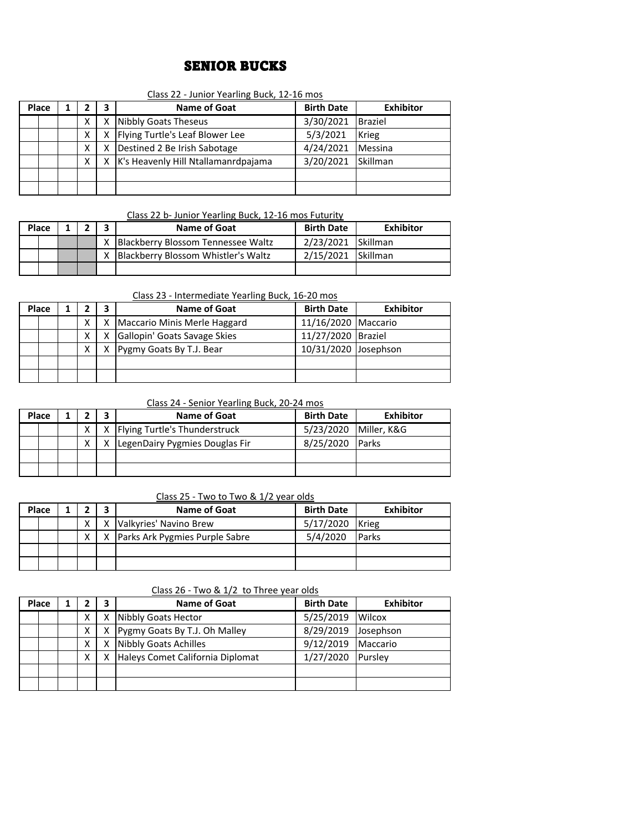# SENIOR BUCKS

|  |  |  | Class 22 - Junior Yearling Buck, 12-16 mos |  |
|--|--|--|--------------------------------------------|--|
|  |  |  |                                            |  |

|  | Place |  |   | 3                               | Name of Goat                        | <b>Birth Date</b> | <b>Exhibitor</b> |
|--|-------|--|---|---------------------------------|-------------------------------------|-------------------|------------------|
|  |       |  |   | x                               | Nibbly Goats Theseus                | 3/30/2021         | <b>Braziel</b>   |
|  |       |  | x | Flying Turtle's Leaf Blower Lee | 5/3/2021                            | <b>Krieg</b>      |                  |
|  |       |  |   | х                               | Destined 2 Be Irish Sabotage        | 4/24/2021         | Messina          |
|  |       |  | x |                                 | K's Heavenly Hill Ntallamanrdpajama | 3/20/2021         | <b>Skillman</b>  |
|  |       |  |   |                                 |                                     |                   |                  |
|  |       |  |   |                                 |                                     |                   |                  |

### Class 22 b- Junior Yearling Buck, 12-16 mos Futurity

| Place |  | Name of Goat                        | <b>Birth Date</b>  | Exhibitor |
|-------|--|-------------------------------------|--------------------|-----------|
|       |  | Blackberry Blossom Tennessee Waltz  | 2/23/2021 Skillman |           |
|       |  | Blackberry Blossom Whistler's Waltz | 2/15/2021 Skillman |           |
|       |  |                                     |                    |           |

### Class 23 - Intermediate Yearling Buck, 16-20 mos

| Place  |        |                              |                              | Name of Goat             | <b>Birth Date</b>    | <b>Exhibitor</b> |
|--------|--------|------------------------------|------------------------------|--------------------------|----------------------|------------------|
| х<br>x |        | Maccario Minis Merle Haggard | 11/16/2020 Maccario          |                          |                      |                  |
|        | х<br>x |                              | Gallopin' Goats Savage Skies | 11/27/2020 Braziel       |                      |                  |
|        |        |                              | χ                            | Pygmy Goats By T.J. Bear | 10/31/2020 Josephson |                  |
|        |        |                              |                              |                          |                      |                  |
|        |        |                              |                              |                          |                      |                  |

### Class 24 - Senior Yearling Buck, 20-24 mos

| Place |  | <b>Name of Goat</b>                   | <b>Birth Date</b>       | Exhibitor     |
|-------|--|---------------------------------------|-------------------------|---------------|
|       |  | X   X   Flying Turtle's Thunderstruck | 5/23/2020   Miller, K&G |               |
|       |  | LegenDairy Pygmies Douglas Fir        | 8/25/2020               | <b>IParks</b> |
|       |  |                                       |                         |               |
|       |  |                                       |                         |               |

### Class 25 - Two to Two & 1/2 year olds

|  | Place |   | <b>Name of Goat</b>                | <b>Birth Date</b> | <b>Exhibitor</b> |
|--|-------|---|------------------------------------|-------------------|------------------|
|  |       | v | Valkyries' Navino Brew             | 5/17/2020         | <b>Krieg</b>     |
|  |       | x | X   Parks Ark Pygmies Purple Sabre | 5/4/2020          | <b>Parks</b>     |
|  |       |   |                                    |                   |                  |
|  |       |   |                                    |                   |                  |

#### Class 26 - Two & 1/2 to Three year olds

| Place |   | 3 | <b>Name of Goat</b>              | <b>Birth Date</b> | <b>Exhibitor</b> |
|-------|---|---|----------------------------------|-------------------|------------------|
|       | Χ | x | Nibbly Goats Hector              | 5/25/2019         | <b>Wilcox</b>    |
|       | Χ | X | Pygmy Goats By T.J. Oh Malley    | 8/29/2019         | Josephson        |
|       | Χ |   | Nibbly Goats Achilles            | 9/12/2019         | Maccario         |
|       | x | х | Haleys Comet California Diplomat | 1/27/2020         | <b>I</b> Purslev |
|       |   |   |                                  |                   |                  |
|       |   |   |                                  |                   |                  |